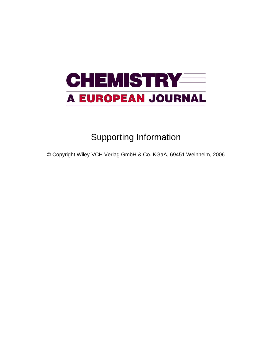# **CHEMISTRY EERS A EUROPEAN JOURNAL**

## Supporting Information

© Copyright Wiley-VCH Verlag GmbH & Co. KGaA, 69451 Weinheim, 2006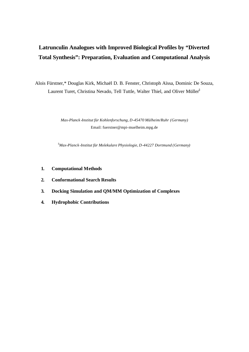### **Latrunculin Analogues with Improved Biological Profiles by "Diverted Total Synthesis": Preparation, Evaluation and Computational Analysis**

Alois Fürstner,\* Douglas Kirk, Michaël D. B. Fenster, Christoph Aïssa, Dominic De Souza, Laurent Turet, Christina Nevado, Tell Tuttle, Walter Thiel, and Oliver Müller<sup>‡</sup>

> *Max-Planck -Institut für Kohlenforschung, D-45470 Mülheim/Ruhr (Germany)* Email: fuerstner@mpi-muelheim.mpg.de

‡*Max-Planck-Institut für Molekulare Physiologie, D-44227 Dortmund (Germany)*

- **1. Computational Methods**
- **2. Conformational Search Results**
- **3. Docking Simulation and QM/MM Optimization of Complexes**
- **4. Hydrophobic Contributions**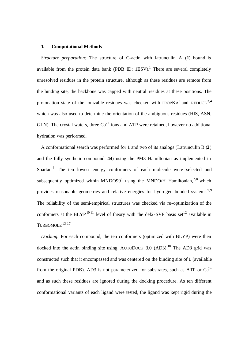#### **1. Computational Methods**

*Structure preparation:* The structure of G-actin with latrunculin A (**1**) bound is available from the protein data bank (PDB ID:  $1ESV$ ).<sup>1</sup> There are several completely unresolved residues in the protein structure, although as these residues are remote from the binding site, the backbone was capped with neutral residues at these positions. The protonation state of the ionizable residues was checked with PROPK $A^2$  and REDUCE,<sup>3,4</sup> which was also used to determine the orientation of the ambiguous residues (HIS, ASN, GLN). The crystal waters, three  $Ca^{2+}$  ions and ATP were retained, however no additional hydration was performed.

A conformational search was performed for **1** and two of its analogs (Latrunculin B (**2**) and the fully synthetic compound **44**) using the PM3 Hamiltonian as implemented in Spartan.<sup>5</sup> The ten lowest energy conformers of each molecule were selected and subsequently optimized within MNDO99 $^6$  using the MNDO/H Hamiltonian,  $^{7,8}$  which provides reasonable geometries and relative energies for hydrogen bonded systems.7,9 The reliability of the semi-empirical structures was checked via re-optimization of the conformers at the BLYP<sup>10,11</sup> level of theory with the def2-SVP basis set<sup>12</sup> available in TURBOMOLE. 13-17

*Docking:* For each compound, the ten conformers (optimized with BLYP) were then docked into the actin binding site using AUTODOCK 3.0  $(AD3)$ .<sup>18</sup> The AD3 grid was constructed such that it encompassed and was centered on the binding site of **1** (available from the original PDB). AD3 is not parameterized for substrates, such as ATP or  $Ca^{2+}$ and as such these residues are ignored during the docking procedure. As ten different conformational variants of each ligand were tested, the ligand was kept rigid during the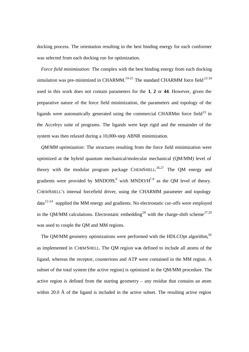docking process. The orientation resulting in the best binding energy for each conformer was selected from each docking run for optimization.

*Force field minimization:* The complex with the best binding energy from each docking simulation was pre-minimized in CHARMM.<sup>19-21</sup> The standard CHARMM force field<sup>22-24</sup> used in this work does not contain parameters for the **1**, **2** or **44**. However, given the preparative nature of the force field minimization, the parameters and topology of the ligands were automatically generated using the commercial CHARMm force field<sup>25</sup> in the Accelrys suite of programs. The ligands were kept rigid and the remainder of the system was then relaxed during a 10,000-step ABNR minimization.

*QM/MM optimization:* The structures resulting from the force field minimization were optimized at the hybrid quantum mechanical/molecular mechanical (QM/MM) level of theory with the modular program package CHEMSHELL.<sup>26,27</sup> The QM energy and gradients were provided by MNDO99,<sup>6</sup> with MNDO/ $H^{7,8}$  as the QM level of theory. CHEMSHELL's internal forcefield driver, using the CHARMM parameter and topology data22-24 supplied the MM energy and gradients. No electrostatic cut-offs were employed in the QM/MM calculations. Electrostatic embedding<sup>28</sup> with the charge-shift scheme<sup>27,29</sup> was used to couple the QM and MM regions.

The QM/MM geometry optimizations were performed with the HDLCOpt algorithm,  $30$ as implemented in CHEMSHELL. The QM region was defined to include all atoms of the ligand, whereas the receptor, counterions and ATP were contained in the MM region. A subset of the total system (the active region) is optimized in the QM/MM procedure. The active region is defined from the starting geometry – any residue that contains an atom within 20.0  $\AA$  of the ligand is included in the active subset. The resulting active region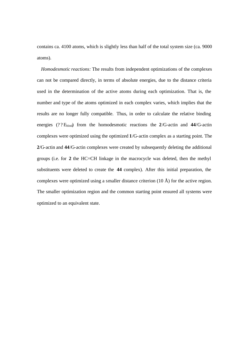contains ca. 4100 atoms, which is slightly less than half of the total system size (ca. 9000 atoms).

*Homodesmotic reactions:* The results from independent optimizations of the complexes can not be compared directly, in terms of absolute energies, due to the distance criteria used in the determination of the active atoms during each optimization. That is, the number and type of the atoms optimized in each complex varies, which implies that the results are no longer fully compatible. Thus, in order to calculate the relative binding energies (??Ebind) from the homodesmotic reactions the **2**/G-actin and **44**/G-actin complexes were optimized using the optimized **1**/G-actin complex as a starting point. The **2**/G-actin and **44**/G-actin complexes were created by subsequently deleting the additional groups (i.e. for **2** the HC=CH linkage in the macrocycle was deleted, then the methyl substituents were deleted to create the **44** complex). After this initial preparation, the complexes were optimized using a smaller distance criterion (10 Å) for the active region. The smaller optimization region and the common starting point ensured all systems were optimized to an equivalent state.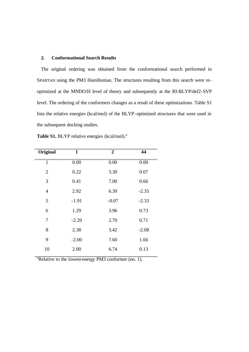#### **2. Conformational Search Results**

The original ordering was obtained from the conformational search performed in SPARTAN using the PM3 Hamiltonian. The structures resulting from this search were reoptimized at the MNDO/H level of theory and subsequently at the RI-BLYP/def2-SVP level. The ordering of the conformers changes as a result of these optimizations. Table S1 lists the relative energies (kcal/mol) of the BLYP-optimized structures that were used in the subsequent docking studies.

| Original       | $\mathbf{1}$ | $\boldsymbol{2}$ | 44      |
|----------------|--------------|------------------|---------|
| $\overline{1}$ | 0.00         | 0.00             | 0.00    |
| $\overline{2}$ | 0.22         | 3.30             | 0.07    |
| 3              | 0.41         | 7.00             | 0.66    |
| $\overline{4}$ | 2.92         | 6.39             | $-2.35$ |
| 5              | $-1.91$      | $-0.07$          | $-2.33$ |
| 6              | 1.29         | 3.96             | 0.73    |
| 7              | $-2.20$      | 2.70             | 0.71    |
| 8              | 2.38         | 3.42             | $-2.08$ |
| 9              | $-2.00$      | 7.60             | 1.66    |
| 10             | 2.00         | 6.74             | 0.13    |
|                |              |                  |         |

Table S1. BLYP relative energies (kcal/mol).<sup>a</sup>

 $a_R$ Relative to the lowest-energy PM3 conformer (no. 1).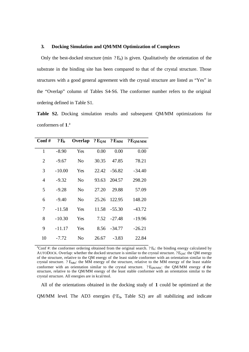#### **3. Docking Simulation and QM/MM Optimization of Complexes**

Only the best-docked structure (min  $?E<sub>b</sub>$ ) is given. Qualitatively the orientation of the substrate in the binding site has been compared to that of the crystal structure. Those structures with a good general agreement with the crystal structure are listed as "Yes" in the "Overlap" column of Tables S4-S6. The conformer number refers to the original ordering defined in Table S1.

**Table S2.** Docking simulation results and subsequent QM/MM optimizations for conformers of **1**. a

| Conf#          | ?E <sub>b</sub> | Overlap $?E_{OM} ? E_{MM}$ |       |               | $2\,\mathbf{E}_{\mathbf{OM}/\mathbf{MM}}$ |
|----------------|-----------------|----------------------------|-------|---------------|-------------------------------------------|
| 1              | $-8.90$         | Yes                        | 0.00  | 0.00          | 0.00                                      |
| $\overline{2}$ | -9.67           | N <sub>0</sub>             | 30.35 | 47.85         | 78.21                                     |
| 3              | $-10.00$        | Yes                        |       | 22.42 - 56.82 | $-34.40$                                  |
| $\overline{4}$ | $-9.32$         | N <sub>0</sub>             | 93.63 | 204.57        | 298.20                                    |
| 5              | $-9.28$         | N <sub>0</sub>             | 27.20 | 29.88         | 57.09                                     |
| 6              | $-9.40$         | N <sub>0</sub>             | 25.26 | 122.95        | 148.20                                    |
| 7              | $-11.58$        | Yes                        | 11.58 | $-55.30$      | $-43.72$                                  |
| 8              | $-10.30$        | Yes                        |       | $7.52 -27.48$ | $-19.96$                                  |
| 9              | $-11.17$        | Yes                        | 8.56  | $-34.77$      | $-26.21$                                  |
| 10             | -7.72           | N <sub>o</sub>             | 26.67 | -3.83         | 22.84                                     |

<sup>a</sup>Conf #: the conformer ordering obtained from the original search.  $?E_b$ : the binding energy calculated by AUTODOCK. Overlap: whether the docked structure is similar to the crystal structure.  $?E<sub>OM</sub>$ : the QM energy of the structure, relative to the QM energy of the least stable conformer with an orientation similar to the crystal structure. ? E<sub>MM</sub>: the MM energy of the structure, relative to the MM energy of the least stable conformer with an orientation similar to the crystal structure. ? E<sub>OM/MM</sub>: the QM/MM energy of the structure, relative to the QM/MM energy of the least stable conformer with an orientation similar to the crystal structure. All energies are in kcal/mol.

All of the orientations obtained in the docking study of **1** could be optimized at the QM/MM level. The AD3 energies  $(P_{b}$ , Table S2) are all stabilizing and indicate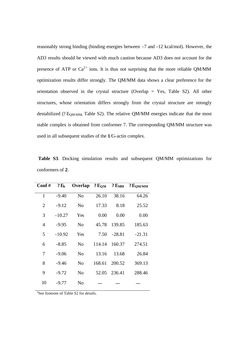reasonably strong binding (binding energies between -7 and -12 kcal/mol). However, the AD3 results should be viewed with much caution because AD3 does not account for the presence of ATP or  $Ca^{2+}$  ions. It is thus not surprising that the more reliable QM/MM optimization results differ strongly. The QM/MM data shows a clear preference for the orientation observed in the crystal structure (Overlap = Yes, Table S2). All other structures, whose orientation differs strongly from the crystal structure are strongly destabilized (?  $E_{OM/MM}$ , Table S2). The relative QM/MM energies indicate that the most stable complex is obtained from conformer 7. The corresponding QM/MM structure was used in all subsequent studies of the **1**/G-actin complex.

 **Table S3**. Docking simulation results and subsequent QM/MM optimizations for conformers of **2**.

| Conf#          | ?E <sub>b</sub> | Overlap        | ? E <sub>OM</sub> | $?$ $\mathbf{E_{MM}}$ | $?$ $E_{OM/MM}$ |
|----------------|-----------------|----------------|-------------------|-----------------------|-----------------|
| $\mathbf{1}$   | $-9.40$         | N <sub>o</sub> | 26.10             | 38.16                 | 64.26           |
| $\overline{2}$ | $-9.12$         | N <sub>o</sub> | 17.33             | 8.18                  | 25.52           |
| 3              | $-10.27$        | Yes            | 0.00              | 0.00                  | 0.00            |
| $\overline{4}$ | $-9.95$         | N <sub>0</sub> | 45.78             | 139.85                | 185.63          |
| 5              | $-10.92$        | Yes            | 7.50              | $-28.81$              | $-21.31$        |
| 6              | $-8.85$         | No             | 114.14            | 160.37                | 274.51          |
| 7              | $-9.06$         | N <sub>o</sub> | 13.16             | 13.68                 | 26.84           |
| 8              | $-9.46$         | N <sub>0</sub> | 168.61            | 200.52                | 369.13          |
| 9              | $-9.72$         | N <sub>0</sub> | 52.05             | 236.41                | 288.46          |
| 10             | $-9.77$         | No             |                   |                       |                 |

<sup>a</sup>See footnote of Table S2 for details.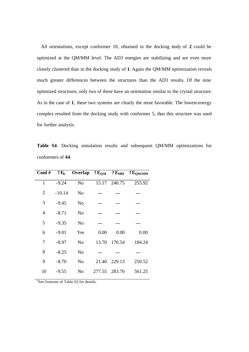All orientations, except conformer 10, obtained in the docking study of **2** could be optimized at the QM/MM level. The AD3 energies are stabilizing and are even more closely clustered than in the docking study of **1**. Again the QM/MM optimization reveals much greater differences between the structures than the AD3 results. Of the nine optimized structures, only two of these have an orientation similar to the crystal structure. As in the case of **1**, these two systems are clearly the most favorable. The lowest-energy complex resulted from the docking study with conformer 5, thus this structure was used for further analysis.

**Table S4**. Docking simulation results and subsequent QM/MM optimizations for conformers of **44**.

| Conf#          | $?E_b$   |                        |        |        | Overlap $?E_{QM}$ $?E_{MM}$ $?E_{QM/MM}$ |
|----------------|----------|------------------------|--------|--------|------------------------------------------|
| $\overline{1}$ | $-9.24$  | $\overline{\text{No}}$ | 15.17  | 240.75 | 255.92                                   |
| $\overline{2}$ | $-10.14$ | No                     |        |        |                                          |
| 3              | $-9.45$  | N <sub>o</sub>         |        |        |                                          |
| $\overline{4}$ | $-8.71$  | N <sub>0</sub>         |        |        |                                          |
| 5              | $-9.35$  | N <sub>o</sub>         |        |        |                                          |
| 6              | $-9.01$  | Yes                    | 0.00   | 0.00   | 0.00                                     |
| 7              | $-8.97$  | N <sub>0</sub>         | 13.70  | 170.54 | 184.24                                   |
| 8              | $-8.25$  | N <sub>o</sub>         |        |        |                                          |
| 9              | $-8.70$  | No                     | 21.40  | 229.13 | 250.52                                   |
| 10             | $-9.55$  | N <sub>o</sub>         | 277.55 | 283.70 | 561.25                                   |

<sup>a</sup>See footnote of Table S2 for details.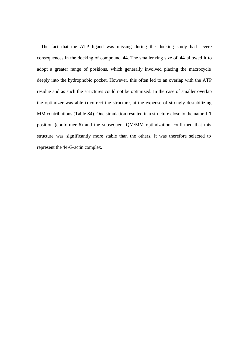The fact that the ATP ligand was missing during the docking study had severe consequences in the docking of compound **44**. The smaller ring size of **44** allowed it to adopt a greater range of positions, which generally involved placing the macrocycle deeply into the hydrophobic pocket. However, this often led to an overlap with the ATP residue and as such the structures could not be optimized. In the case of smaller overlap the optimizer was able to correct the structure, at the expense of strongly destabilizing MM contributions (Table S4). One simulation resulted in a structure close to the natural **1** position (conformer 6) and the subsequent QM/MM optimization confirmed that this structure was significantly more stable than the others. It was therefore selected to represent the **44**/G-actin complex.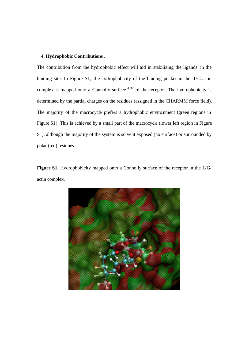#### **4. Hydrophobic Contributions**.

The contribution from the hydrophobic effect will aid in stabilizing the ligands in the binding site. In Figure S1, the hydrophobicity of the binding pocket in the **1**/G-actin complex is mapped onto a Connolly surface  $31,32$  of the receptor. The hydrophobicity is determined by the partial charges on the residues (assigned in the CHARMM force field). The majority of the macrocycle prefers a hydrophobic environment (green regions in Figure S1). This is achieved by a small part of the macrocycle (lower left region in Figure S1), although the majority of the system is solvent exposed (no surface) or surrounded by polar (red) residues.

**Figure S1.** Hydrophobicity mapped onto a Connolly surface of the receptor in the **1**/Gactin complex.

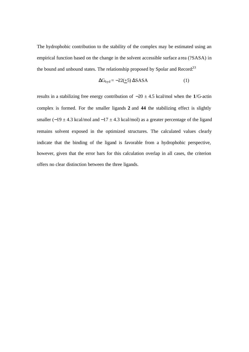The hydrophobic contribution to the stability of the complex may be estimated using an empirical function based on the change in the solvent accessible surface a rea (?SASA) in the bound and unbound states. The relationship proposed by Spolar and Record.<sup>33</sup>

$$
\Delta G_{\text{hyd}} = -22(\pm 5) \,\Delta SASA \tag{1}
$$

results in a stabilizing free energy contribution of −20 ± 4.5 kcal/mol when the **1**/G-actin complex is formed. For the smaller ligands **2** and **44** the stabilizing effect is slightly smaller (−19  $\pm$  4.3 kcal/mol and −17  $\pm$  4.3 kcal/mol) as a greater percentage of the ligand remains solvent exposed in the optimized structures. The calculated values clearly indicate that the binding of the ligand is favorable from a hydrophobic perspective, however, given that the error bars for this calculation overlap in all cases, the criterion offers no clear distinction between the three ligands.